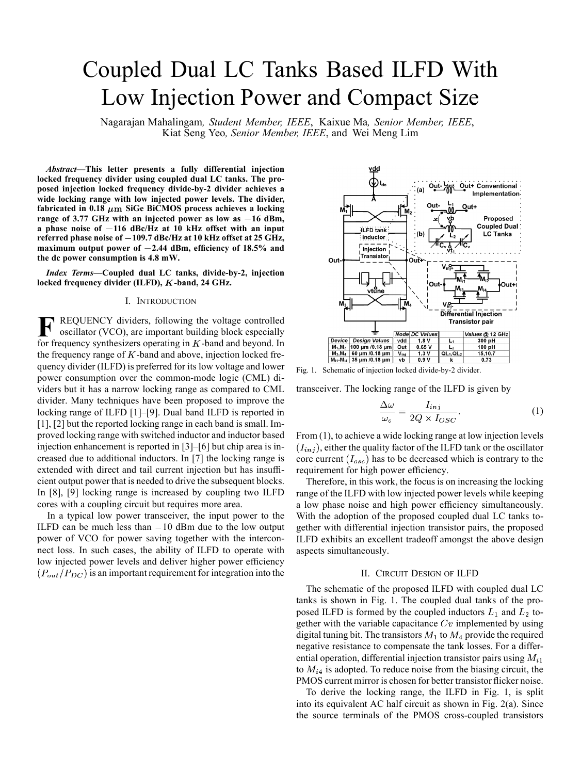# Coupled Dual LC Tanks Based ILFD With Low Injection Power and Compact Size

Nagarajan Mahalingam*, Student Member, IEEE*, Kaixue Ma*, Senior Member, IEEE*, Kiat Seng Yeo*, Senior Member, IEEE*, and Wei Meng Lim

*Abstract—***This letter presents a fully differential injection locked frequency divider using coupled dual LC tanks. The proposed injection locked frequency divide-by-2 divider achieves a wide locking range with low injected power levels. The divider,** fabricated in  $0.18 \ \mu \mathrm{m}$  SiGe BiCMOS process achieves a locking **range of 3.77 GHz with an injected power as low as 16 dBm, a phase noise of 116 dBc/Hz at 10 kHz offset with an input referred phase noise of 109.7 dBc/Hz at 10 kHz offset at 25 GHz, maximum output power of 2.44 dBm, efficiency of 18.5% and the dc power consumption is 4.8 mW.**

*Index Terms—***Coupled dual LC tanks, divide-by-2, injection** locked frequency divider (ILFD), *K*-band, 24 GHz.

## I. INTRODUCTION

**F** REQUENCY dividers, following the voltage controlled oscillator (VCO), are important building block especially for frequency synthesizers operating in  $K$ -band and beyond. In the frequency range of  $K$ -band and above, injection locked frequency divider (ILFD) is preferred for its low voltage and lower power consumption over the common-mode logic (CML) dividers but it has a narrow locking range as compared to CML divider. Many techniques have been proposed to improve the locking range of ILFD [1]–[9]. Dual band ILFD is reported in [1], [2] but the reported locking range in each band is small. Improved locking range with switched inductor and inductor based injection enhancement is reported in [3]–[6] but chip area is increased due to additional inductors. In [7] the locking range is extended with direct and tail current injection but has insufficient output power that is needed to drive the subsequent blocks. In [8], [9] locking range is increased by coupling two ILFD cores with a coupling circuit but requires more area.

In a typical low power transceiver, the input power to the ILFD can be much less than  $-10$  dBm due to the low output power of VCO for power saving together with the interconnect loss. In such cases, the ability of ILFD to operate with low injected power levels and deliver higher power efficiency  $(P_{out}/P_{DC})$  is an important requirement for integration into the



Fig. 1. Schematic of injection locked divide-by-2 divider.

transceiver. The locking range of the ILFD is given by

$$
\frac{\Delta\omega}{\omega_o} = \frac{I_{inj}}{2Q \times I_{OSC}}.\tag{1}
$$

From (1), to achieve a wide locking range at low injection levels  $(I_{inj})$ , either the quality factor of the ILFD tank or the oscillator core current  $(I_{osc})$  has to be decreased which is contrary to the requirement for high power efficiency.

Therefore, in this work, the focus is on increasing the locking range of the ILFD with low injected power levels while keeping a low phase noise and high power efficiency simultaneously. With the adoption of the proposed coupled dual LC tanks together with differential injection transistor pairs, the proposed ILFD exhibits an excellent tradeoff amongst the above design aspects simultaneously.

## II. CIRCUIT DESIGN OF ILFD

The schematic of the proposed ILFD with coupled dual LC tanks is shown in Fig. 1. The coupled dual tanks of the proposed ILFD is formed by the coupled inductors  $L_1$  and  $L_2$  together with the variable capacitance  $Cv$  implemented by using digital tuning bit. The transistors  $M_1$  to  $M_4$  provide the required negative resistance to compensate the tank losses. For a differential operation, differential injection transistor pairs using  $M_{i1}$ to  $M_{i4}$  is adopted. To reduce noise from the biasing circuit, the PMOS current mirror is chosen for better transistor flicker noise.

To derive the locking range, the ILFD in Fig. 1, is split into its equivalent AC half circuit as shown in Fig. 2(a). Since the source terminals of the PMOS cross-coupled transistors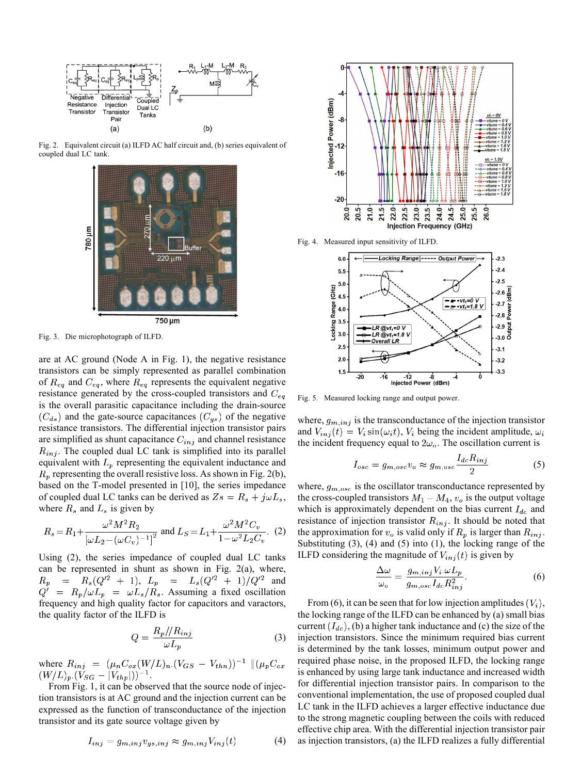

Fig. 2. Equivalent circuit (a) ILFD AC half circuit and, (b) series equivalent of coupled dual LC tank.



Fig. 3. Die microphotograph of ILFD.

are at AC ground (Node A in Fig. 1), the negative resistance transistors can be simply represented as parallel combination of  $R_{eq}$  and  $C_{eq}$ , where  $R_{eq}$  represents the equivalent negative resistance generated by the cross-coupled transistors and  $C_{eq}$ is the overall parasitic capacitance including the drain-source  $(C_{ds})$  and the gate-source capacitances  $(C_{gs})$  of the negative resistance transistors. The differential injection transistor pairs are simplified as shunt capacitance  $C_{inj}$  and channel resistance  $R_{inj}$ . The coupled dual LC tank is simplified into its parallel equivalent with  $L_p$  representing the equivalent inductance and  $R_p$  representing the overall resistive loss. As shown in Fig. 2(b), based on the T-model presented in [10], the series impedance of coupled dual LC tanks can be derived as  $Z_s = R_s + j\omega L_s$ , where  $R_s$  and  $L_s$  is given by

$$
R_s = R_1 + \frac{\omega^2 M^2 R_2}{\left[\omega L_2 - (\omega C_v)^{-1}\right]^2} \text{ and } L_S = L_1 + \frac{\omega^2 M^2 C_v}{1 - \omega^2 L_2 C_v}. \tag{2}
$$

Using (2), the series impedance of coupled dual LC tanks can be represented in shunt as shown in Fig. 2(a), where,  $L_p = L_s(Q'^2 + 1)/Q'^2$  and . Assuming a fixed oscillation frequency and high quality factor for capacitors and varactors, the quality factor of the ILFD is

$$
Q = \frac{R_p / / R_{inj}}{\omega L_p} \tag{3}
$$

where .

From Fig. 1, it can be observed that the source node of injection transistors is at AC ground and the injection current can be expressed as the function of transconductance of the injection transistor and its gate source voltage given by

$$
I_{inj} = g_{m,inj}v_{gs,inj} \approx g_{m,inj}V_{inj}(t)
$$
 (4)



Fig. 4. Measured input sensitivity of ILFD.



Fig. 5. Measured locking range and output power.

where,  $g_{m,inj}$  is the transconductance of the injection transistor and  $V_{inj}(t) = V_i \sin(\omega_i t)$ ,  $V_i$  being the incident amplitude,  $\omega_i$ the incident frequency equal to  $2\omega_o$ . The oscillation current is

$$
I_{osc} = g_{m,osc} v_o \approx g_{m,osc} \frac{I_{dc} R_{inj}}{2}
$$
 (5)

where,  $g_{m,osc}$  is the oscillator transconductance represented by the cross-coupled transistors  $M_1 - M_4$ ,  $v_o$  is the output voltage which is approximately dependent on the bias current  $I_{dc}$  and resistance of injection transistor  $R_{inj}$ . It should be noted that the approximation for  $v_o$  is valid only if  $R_p$  is larger than  $R_{inj}$ . Substituting (3), (4) and (5) into (1), the locking range of the ILFD considering the magnitude of  $V_{inj}(t)$  is given by

$$
\frac{\Delta\omega}{\omega_o} = \frac{g_{m,inj}V_i.\omega L_p}{g_{m,osc}I_{dc}R_{inj}^2}.
$$
\n(6)

From (6), it can be seen that for low injection amplitudes  $(V_i)$ , the locking range of the ILFD can be enhanced by (a) small bias current  $(I_{dc})$ , (b) a higher tank inductance and (c) the size of the injection transistors. Since the minimum required bias current is determined by the tank losses, minimum output power and required phase noise, in the proposed ILFD, the locking range is enhanced by using large tank inductance and increased width for differential injection transistor pairs. In comparison to the conventional implementation, the use of proposed coupled dual LC tank in the ILFD achieves a larger effective inductance due to the strong magnetic coupling between the coils with reduced effective chip area. With the differential injection transistor pair as injection transistors, (a) the ILFD realizes a fully differential